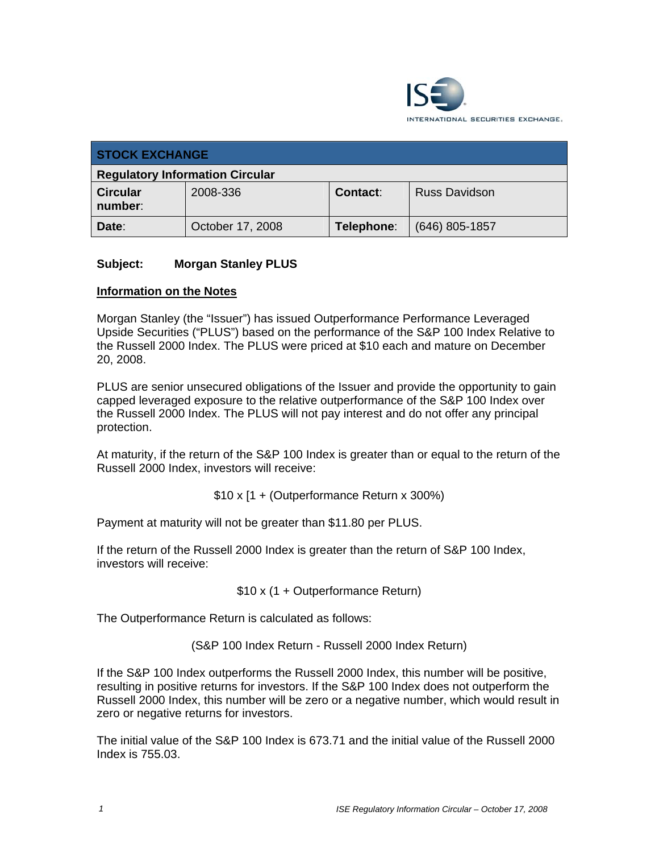

| <b>STOCK EXCHANGE</b>                  |                  |            |                      |
|----------------------------------------|------------------|------------|----------------------|
| <b>Regulatory Information Circular</b> |                  |            |                      |
| <b>Circular</b><br>number:             | 2008-336         | Contact:   | <b>Russ Davidson</b> |
| Date:                                  | October 17, 2008 | Telephone: | $(646)$ 805-1857     |

## **Subject: Morgan Stanley PLUS**

#### **Information on the Notes**

Morgan Stanley (the "Issuer") has issued Outperformance Performance Leveraged Upside Securities ("PLUS") based on the performance of the S&P 100 Index Relative to the Russell 2000 Index. The PLUS were priced at \$10 each and mature on December 20, 2008.

PLUS are senior unsecured obligations of the Issuer and provide the opportunity to gain capped leveraged exposure to the relative outperformance of the S&P 100 Index over the Russell 2000 Index. The PLUS will not pay interest and do not offer any principal protection.

At maturity, if the return of the S&P 100 Index is greater than or equal to the return of the Russell 2000 Index, investors will receive:

\$10 x [1 + (Outperformance Return x 300%)

Payment at maturity will not be greater than \$11.80 per PLUS.

If the return of the Russell 2000 Index is greater than the return of S&P 100 Index, investors will receive:

\$10 x (1 + Outperformance Return)

The Outperformance Return is calculated as follows:

(S&P 100 Index Return - Russell 2000 Index Return)

If the S&P 100 Index outperforms the Russell 2000 Index, this number will be positive, resulting in positive returns for investors. If the S&P 100 Index does not outperform the Russell 2000 Index, this number will be zero or a negative number, which would result in zero or negative returns for investors.

The initial value of the S&P 100 Index is 673.71 and the initial value of the Russell 2000 Index is 755.03.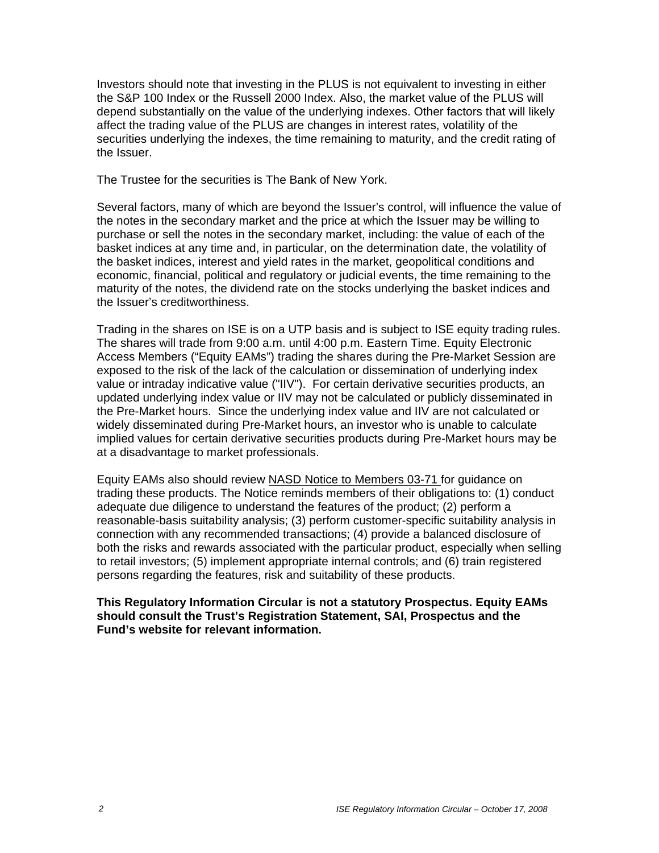Investors should note that investing in the PLUS is not equivalent to investing in either the S&P 100 Index or the Russell 2000 Index. Also, the market value of the PLUS will depend substantially on the value of the underlying indexes. Other factors that will likely affect the trading value of the PLUS are changes in interest rates, volatility of the securities underlying the indexes, the time remaining to maturity, and the credit rating of the Issuer.

The Trustee for the securities is The Bank of New York.

Several factors, many of which are beyond the Issuer's control, will influence the value of the notes in the secondary market and the price at which the Issuer may be willing to purchase or sell the notes in the secondary market, including: the value of each of the basket indices at any time and, in particular, on the determination date, the volatility of the basket indices, interest and yield rates in the market, geopolitical conditions and economic, financial, political and regulatory or judicial events, the time remaining to the maturity of the notes, the dividend rate on the stocks underlying the basket indices and the Issuer's creditworthiness.

Trading in the shares on ISE is on a UTP basis and is subject to ISE equity trading rules. The shares will trade from 9:00 a.m. until 4:00 p.m. Eastern Time. Equity Electronic Access Members ("Equity EAMs") trading the shares during the Pre-Market Session are exposed to the risk of the lack of the calculation or dissemination of underlying index value or intraday indicative value ("IIV"). For certain derivative securities products, an updated underlying index value or IIV may not be calculated or publicly disseminated in the Pre-Market hours. Since the underlying index value and IIV are not calculated or widely disseminated during Pre-Market hours, an investor who is unable to calculate implied values for certain derivative securities products during Pre-Market hours may be at a disadvantage to market professionals.

Equity EAMs also should review NASD Notice to Members 03-71 for guidance on trading these products. The Notice reminds members of their obligations to: (1) conduct adequate due diligence to understand the features of the product; (2) perform a reasonable-basis suitability analysis; (3) perform customer-specific suitability analysis in connection with any recommended transactions; (4) provide a balanced disclosure of both the risks and rewards associated with the particular product, especially when selling to retail investors; (5) implement appropriate internal controls; and (6) train registered persons regarding the features, risk and suitability of these products.

### **This Regulatory Information Circular is not a statutory Prospectus. Equity EAMs should consult the Trust's Registration Statement, SAI, Prospectus and the Fund's website for relevant information.**